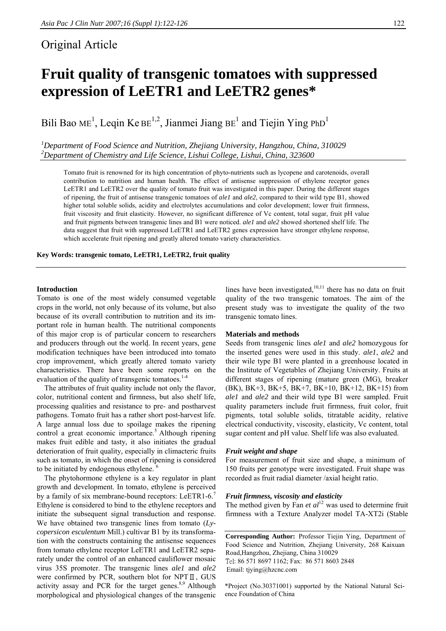# Original Article

# **Fruit quality of transgenic tomatoes with suppressed expression of LeETR1 and LeETR2 genes\***

Bili Bao ME<sup>1</sup>, Leqin Ke BE<sup>1,2</sup>, Jianmei Jiang BE<sup>1</sup> and Tiejin Ying PhD<sup>1</sup>

*1 Department of Food Science and Nutrition, Zhejiang University, Hangzhou, China, 310029 2 Department of Chemistry and Life Science, Lishui College, Lishui, China, 323600* 

Tomato fruit is renowned for its high concentration of phyto-nutrients such as lycopene and carotenoids, overall contribution to nutrition and human health. The effect of antisense suppression of ethylene receptor genes LeETR1 and LeETR2 over the quality of tomato fruit was investigated in this paper. During the different stages of ripening, the fruit of antisense transgenic tomatoes of *ale1* and *ale2*, compared to their wild type B1, showed higher total soluble solids, acidity and electrolytes accumulations and color development; lower fruit firmness, fruit viscosity and fruit elasticity. However, no significant difference of Vc content, total sugar, fruit pH value and fruit pigments between transgenic lines and B1 were noticed. *ale1* and *ale2* showed shortened shelf life. The data suggest that fruit with suppressed LeETR1 and LeETR2 genes expression have stronger ethylene response, which accelerate fruit ripening and greatly altered tomato variety characteristics.

**Key Words: transgenic tomato, LeETR1, LeETR2, fruit quality** 

#### **Introduction**

Tomato is one of the most widely consumed vegetable crops in the world, not only because of its volume, but also because of its overall contribution to nutrition and its important role in human health. The nutritional components of this major crop is of particular concern to researchers and producers through out the world. In recent years, gene modification techniques have been introduced into tomato crop improvement, which greatly altered tomato variety characteristics. There have been some reports on the evaluation of the quality of transgenic tomatoes.<sup>1-4</sup>

 The attributes of fruit quality include not only the flavor, color, nutritional content and firmness, but also shelf life, processing qualities and resistance to pre- and postharvest pathogens. Tomato fruit has a rather short post-harvest life. A large annual loss due to spoilage makes the ripening control a great economic importance.<sup>5</sup> Although ripening makes fruit edible and tasty, it also initiates the gradual deterioration of fruit quality, especially in climacteric fruits such as tomato, in which the onset of ripening is considered to be initiated by endogenous ethylene.<sup>6</sup>

The phytohormone ethylene is a key regulator in plant growth and development. In tomato, ethylene is perceived by a family of six membrane-bound receptors: LeETR1-6.<sup>7</sup> Ethylene is considered to bind to the ethylene receptors and initiate the subsequent signal transduction and response. We have obtained two transgenic lines from tomato (*Lycopersicon esculentum* Mill.) cultivar B1 by its transformation with the constructs containing the antisense sequences from tomato ethylene receptor LeETR1 and LeETR2 separately under the control of an enhanced cauliflower mosaic virus 35S promoter. The transgenic lines *ale1* and *ale2* were confirmed by PCR, southern blot for NPT  $\mathbb{I}$ , GUS activity assay and PCR for the target genes. $8,9$  Although morphological and physiological changes of the transgenic

lines have been investigated, $10,11$  there has no data on fruit quality of the two transgenic tomatoes. The aim of the present study was to investigate the quality of the two transgenic tomato lines.

# **Materials and methods**

Seeds from transgenic lines *ale1* and *ale2* homozygous for the inserted genes were used in this study. *ale1*, *ale2* and their wile type B1 were planted in a greenhouse located in the Institute of Vegetables of Zhejiang University. Fruits at different stages of ripening (mature green (MG), breaker (BK), BK+3, BK+5, BK+7, BK+10, BK+12, BK+15) from *ale1* and *ale2* and their wild type B1 were sampled. Fruit quality parameters include fruit firmness, fruit color, fruit pigments, total soluble solids, titratable acidity, relative electrical conductivity, viscosity, elasticity, Vc content, total sugar content and pH value. Shelf life was also evaluated.

#### *Fruit weight and shape*

For measurement of fruit size and shape, a minimum of 150 fruits per genotype were investigated. Fruit shape was recorded as fruit radial diameter /axial height ratio.

# *Fruit firmness, viscosity and elasticity*

The method given by Fan *et al*<sup>12</sup> was used to determine fruit firmness with a Texture Analyzer model TA-XT2i (Stable

**Corresponding Author:** Professor Tiejin Ying, Department of Food Science and Nutrition, Zhejiang University, 268 Kaixuan Road,Hangzhou, Zhejiang, China 310029 Tel: 86 571 8697 1162; Fax: 86 571 8603 2848 Email: tjying@hzcnc.com

\*Project (No.30371001) supported by the National Natural Science Foundation of China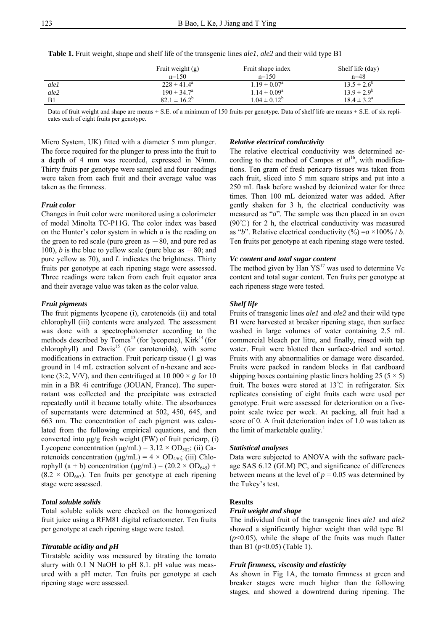**Table 1.** Fruit weight, shape and shelf life of the transgenic lines *ale1*, *ale2* and their wild type B1

|      | Fruit weight (g)       | Fruit shape index       | Shelf life (day)       |
|------|------------------------|-------------------------|------------------------|
|      | $n=150$                | $n=150$                 | $n=48$                 |
| ale1 | $228 \pm 41.4^{\circ}$ | $1.19 \pm 0.07^{\circ}$ | $13.5 \pm 2.6^{\circ}$ |
| ale2 | $190 \pm 34.7^{\circ}$ | $1.14 \pm 0.09^a$       | $13.9 \pm 2.9^b$       |
| B1   | $82.1 \pm 16.2^b$      | $1.04 \pm 0.12^b$       | $18.4 \pm 3.2^{\circ}$ |

Data of fruit weight and shape are means  $\pm$  S.E. of a minimum of 150 fruits per genotype. Data of shelf life are means  $\pm$  S.E. of six replicates each of eight fruits per genotype.

Micro System, UK) fitted with a diameter 5 mm plunger. The force required for the plunger to press into the fruit to a depth of 4 mm was recorded, expressed in N/mm. Thirty fruits per genotype were sampled and four readings were taken from each fruit and their average value was taken as the firmness.

#### *Fruit colo***r**

Changes in fruit color were monitored using a colorimeter of model Minolta TC-P11G. The color index was based on the Hunter's color system in which *a* is the reading on the green to red scale (pure green as  $-80$ , and pure red as 100), *b* is the blue to yellow scale (pure blue as  $-80$ ; and pure yellow as 70), and *L* indicates the brightness. Thirty fruits per genotype at each ripening stage were assessed. Three readings were taken from each fruit equator area and their average value was taken as the color value.

#### *Fruit pigments*

The fruit pigments lycopene (i), carotenoids (ii) and total chlorophyll (iii) contents were analyzed. The assessment was done with a spectrophotometer according to the methods described by Tomes<sup>13</sup> (for lycopene), Kirk<sup>14</sup> (for  $chlorophyll$ ) and  $Davis<sup>15</sup>$  (for carotenoids), with some modifications in extraction. Fruit pericarp tissue (1 g) was ground in 14 mL extraction solvent of n-hexane and acetone (3:2, V/V), and then centrifuged at 10 000  $\times$  *g* for 10 min in a BR 4i centrifuge (JOUAN, France). The supernatant was collected and the precipitate was extracted repeatedly until it became totally white. The absorbances of supernatants were determined at 502, 450, 645, and 663 nm. The concentration of each pigment was calculated from the following empirical equations, and then converted into μg/g fresh weight (FW) of fruit pericarp, (i) Lycopene concentration ( $\mu$ g/mL) = 3.12 × OD<sub>502</sub>; (ii) Carotenoids concentration ( $\mu$ g/mL) = 4 × OD<sub>450</sub>; (iii) Chlorophyll (a + b) concentration (μg/mL) =  $(20.2 \times OD_{645})$  +  $(8.2 \times OD_{663})$ . Ten fruits per genotype at each ripening stage were assessed.

#### *Total soluble solids*

Total soluble solids were checked on the homogenized fruit juice using a RFM81 digital refractometer. Ten fruits per genotype at each ripening stage were tested.

# *Titratable acidity and pH*

Titratable acidity was measured by titrating the tomato slurry with 0.1 N NaOH to pH 8.1. pH value was measured with a pH meter. Ten fruits per genotype at each ripening stage were assessed.

# *Relative electrical conductivity*

The relative electrical conductivity was determined according to the method of Campos *et al*<sup>16</sup>, with modifications. Ten gram of fresh pericarp tissues was taken from each fruit, sliced into 5 mm square strips and put into a 250 mL flask before washed by deionized water for three times. Then 100 mL deionized water was added. After gently shaken for 3 h, the electrical conductivity was measured as "*a*". The sample was then placed in an oven (90 $\degree$ C) for 2 h, the electrical conductivity was measured as "*b*". Relative electrical conductivity  $(\% ) = a \times 100\% / b$ . Ten fruits per genotype at each ripening stage were tested.

# *Vc content and total sugar content*

The method given by Han  $YS^{17}$  was used to determine Vc content and total sugar content. Ten fruits per genotype at each ripeness stage were tested.

#### *Shelf life*

Fruits of transgenic lines *ale1* and *ale2* and their wild type B1 were harvested at breaker ripening stage, then surface washed in large volumes of water containing 2.5 mL commercial bleach per litre, and finally, rinsed with tap water. Fruit were blotted then surface-dried and sorted. Fruits with any abnormalities or damage were discarded. Fruits were packed in random blocks in flat cardboard shipping boxes containing plastic liners holding 25 ( $5 \times 5$ ) fruit. The boxes were stored at 13℃ in refrigerator. Six replicates consisting of eight fruits each were used per genotype. Fruit were assessed for deterioration on a fivepoint scale twice per week. At packing, all fruit had a score of 0. A fruit deterioration index of 1.0 was taken as the limit of marketable quality.<sup>1</sup>

#### *Statistical analyses*

Data were subjected to ANOVA with the software package SAS 6.12 (GLM) PC, and significance of differences between means at the level of  $p = 0.05$  was determined by the Tukey's test.

#### **Results**

#### *Fruit weight and shape*

The individual fruit of the transgenic lines *ale1* and *ale2* showed a significantly higher weight than wild type B1  $(p<0.05)$ , while the shape of the fruits was much flatter than B1 ( $p$ <0.05) (Table 1).

#### *Fruit firmness, viscosity and elasticity*

As shown in Fig 1A, the tomato firmness at green and breaker stages were much higher than the following stages, and showed a downtrend during ripening. The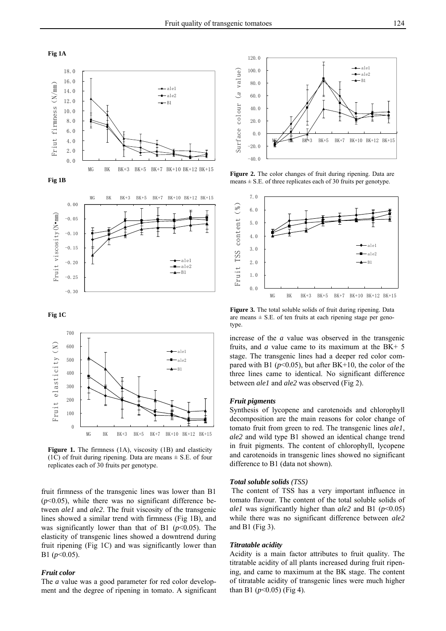





**Fig 1C** 



**Figure 1.** The firmness (1A), viscosity (1B) and elasticity (1C) of fruit during ripening. Data are means  $\pm$  S.E. of four replicates each of 30 fruits per genotype.

fruit firmness of the transgenic lines was lower than B1  $(p<0.05)$ , while there was no significant difference between *ale1* and *ale2*. The fruit viscosity of the transgenic lines showed a similar trend with firmness (Fig 1B), and was significantly lower than that of B1  $(p<0.05)$ . The elasticity of transgenic lines showed a downtrend during fruit ripening (Fig 1C) and was significantly lower than B1 (*p*<0.05).

# *Fruit color*

The *a* value was a good parameter for red color development and the degree of ripening in tomato. A significant



**Figure 2.** The color changes of fruit during ripening. Data are means  $\pm$  S.E. of three replicates each of 30 fruits per genotype.



**Figure 3.** The total soluble solids of fruit during ripening. Data are means  $\pm$  S.E. of ten fruits at each ripening stage per genotype.

increase of the *a* value was observed in the transgenic fruits, and *a* value came to its maximum at the BK+ 5 stage. The transgenic lines had a deeper red color compared with B1 ( $p$ <0.05), but after BK+10, the color of the three lines came to identical. No significant difference between *ale1* and *ale2* was observed (Fig 2).

#### *Fruit pigments*

Synthesis of lycopene and carotenoids and chlorophyll decomposition are the main reasons for color change of tomato fruit from green to red. The transgenic lines *ale1*, *ale2* and wild type B1 showed an identical change trend in fruit pigments. The content of chlorophyll, lycopene and carotenoids in transgenic lines showed no significant difference to B1 (data not shown).

#### *Total soluble solids (TSS)*

 The content of TSS has a very important influence in tomato flavour. The content of the total soluble solids of *ale1* was significantly higher than *ale2* and B1 ( $p$ <0.05) while there was no significant difference between *ale2*  and B1 (Fig 3).

# *Titratable acidity*

Acidity is a main factor attributes to fruit quality. The titratable acidity of all plants increased during fruit ripening, and came to maximum at the BK stage. The content of titratable acidity of transgenic lines were much higher than B1 ( $p$ <0.05) (Fig 4).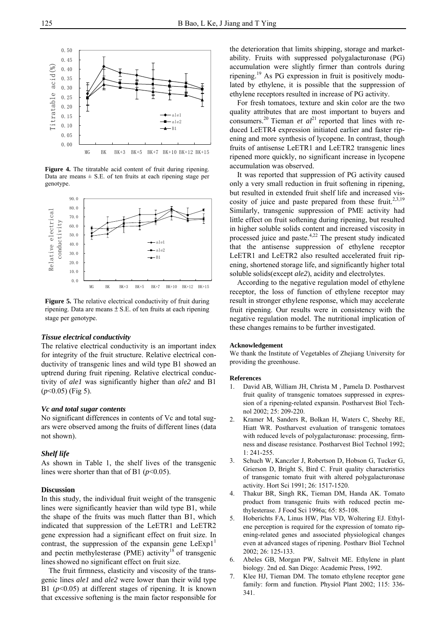

**Figure 4.** The titratable acid content of fruit during ripening. Data are means  $\pm$  S.E. of ten fruits at each ripening stage per genotype.



**Figure 5.** The relative electrical conductivity of fruit during ripening. Data are means  $\pm$  S.E. of ten fruits at each ripening stage per genotype.

#### *Tissue electrical conductivity*

The relative electrical conductivity is an important index for integrity of the fruit structure. Relative electrical conductivity of transgenic lines and wild type B1 showed an uptrend during fruit ripening. Relative electrical conductivity of *ale1* was significantly higher than *ale2* and B1 (*p*<0.05) (Fig 5).

#### *Vc and total sugar contents*

No significant differences in contents of Vc and total sugars were observed among the fruits of different lines (data not shown).

#### *Shelf life*

As shown in Table 1, the shelf lives of the transgenic lines were shorter than that of B1 ( $p$ <0.05).

# **Discussion**

In this study, the individual fruit weight of the transgenic lines were significantly heavier than wild type B1, while the shape of the fruits was much flatter than B1, which indicated that suppression of the LeETR1 and LeETR2 gene expression had a significant effect on fruit size. In contrast, the suppression of the expansin gene  $LeExp1<sup>1</sup>$ and pectin methylesterase (PME) activity<sup>18</sup> of transgenic lines showed no significant effect on fruit size.

 The fruit firmness, elasticity and viscosity of the transgenic lines *ale1* and *ale2* were lower than their wild type B1 ( $p$ <0.05) at different stages of ripening. It is known that excessive softening is the main factor responsible for

the deterioration that limits shipping, storage and marketability. Fruits with suppressed polygalacturonase (PG) accumulation were slightly firmer than controls during ripening.19 As PG expression in fruit is positively modulated by ethylene, it is possible that the suppression of ethylene receptors resulted in increase of PG activity.

 For fresh tomatoes, texture and skin color are the two quality attributes that are most important to buyers and consumers.<sup>20</sup> Tieman *et al*<sup>21</sup> reported that lines with reduced LeETR4 expression initiated earlier and faster ripening and more synthesis of lycopene. In contrast, though fruits of antisense LeETR1 and LeETR2 transgenic lines ripened more quickly, no significant increase in lycopene accumulation was observed.

 It was reported that suppression of PG activity caused only a very small reduction in fruit softening in ripening, but resulted in extended fruit shelf life and increased viscosity of juice and paste prepared from these fruit.<sup>2,3,19</sup> Similarly, transgenic suppression of PME activity had little effect on fruit softening during ripening, but resulted in higher soluble solids content and increased viscosity in processed juice and paste.4,22 The present study indicated that the antisense suppression of ethylene receptor LeETR1 and LeETR2 also resulted accelerated fruit ripening, shortened storage life, and significantly higher total soluble solids(except *ale2*), acidity and electrolytes.

 According to the negative regulation model of ethylene receptor, the loss of function of ethylene receptor may result in stronger ethylene response, which may accelerate fruit ripening. Our results were in consistency with the negative regulation model. The nutritional implication of these changes remains to be further investigated.

#### **Acknowledgement**

We thank the Institute of Vegetables of Zhejiang University for providing the greenhouse.

#### **References**

- 1. David AB, William JH, Christa M , Pamela D. Postharvest fruit quality of transgenic tomatoes suppressed in expression of a ripening-related expansin. Postharvest Biol Technol 2002; 25: 209-220.
- 2. Kramer M, Sanders R, Bolkan H, Waters C, Sheehy RE, Hiatt WR. Postharvest evaluation of transgenic tomatoes with reduced levels of polygalacturonase: processing, firmness and disease resistance. Postharvest Biol Technol 1992; 1: 241-255.
- 3. Schuch W, Kanczler J, Robertson D, Hobson G, Tucker G, Grierson D, Bright S, Bird C. Fruit quality characteristics of transgenic tomato fruit with altered polygalacturonase activity. Hort Sci 1991; 26: 1517-1520.
- 4. Thakur BR, Singh RK, Tieman DM, Handa AK. Tomato product from transgenic fruits with reduced pectin methylesterase. J Food Sci 1996a; 65: 85-108.
- 5. Hoberichts FA, Linus HW, Plas VD, Woltering EJ. Ethylene perception is required for the expression of tomato ripening-related genes and associated physiological changes even at advanced stages of ripening. Postharv Biol Technol 2002; 26: 125-133.
- 6. Abeles GB, Morgan PW, Saltveit ME. Ethylene in plant biology. 2nd ed. San Diego: Academic Press, 1992.
- 7. Klee HJ, Tieman DM. The tomato ethylene receptor gene family: form and function. Physiol Plant 2002; 115: 336- 341.